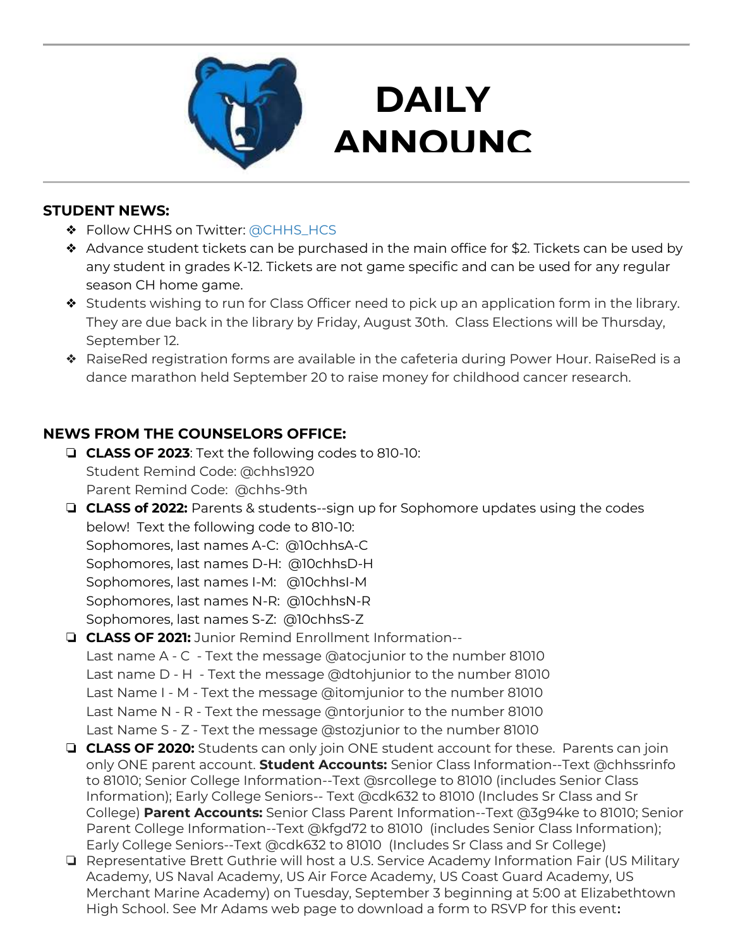

## **DAILY ANNOUNC**

**EMENTS AND STRUCTURE** 

### **STUDENT NEWS:**

- ❖ Follow CHHS on Twitter: [@CHHS\\_HCS](https://twitter.com/CHHS_HCS)
- ❖ Advance student tickets can be purchased in the main office for \$2. Tickets can be used by any student in grades K-12. Tickets are not game specific and can be used for any regular season CH home game.
- ❖ Students wishing to run for Class Officer need to pick up an application form in the library. They are due back in the library by Friday, August 30th. Class Elections will be Thursday, September 12.
- ❖ RaiseRed registration forms are available in the cafeteria during Power Hour. RaiseRed is a dance marathon held September 20 to raise money for childhood cancer research.

### **NEWS FROM THE COUNSELORS OFFICE:**

- ❏ **CLASS OF 2023**: Text the following codes to 810-10: Student Remind Code: @chhs1920 Parent Remind Code: @chhs-9th
- ❏ **CLASS of 2022:** Parents & students--sign up for Sophomore updates using the codes below! Text the following code to 810-10: Sophomores, last names A-C: @10chhsA-C Sophomores, last names D-H: @10chhsD-H Sophomores, last names I-M: @10chhsI-M Sophomores, last names N-R: @10chhsN-R Sophomores, last names S-Z: @10chhsS-Z

#### ❏ **CLASS OF 2021:** Junior Remind Enrollment Information-- Last name A - C - Text the message @atocjunior to the number 81010 Last name D - H - Text the message @dtohjunior to the number 81010 Last Name I - M - Text the message @itomjunior to the number 81010 Last Name N - R - Text the message @ntorjunior to the number 81010 Last Name S - Z - Text the message @stozjunior to the number 81010

- ❏ **CLASS OF 2020:** Students can only join ONE student account for these. Parents can join only ONE parent account. **Student Accounts:** Senior Class Information--Text @chhssrinfo to 81010; Senior College Information--Text @srcollege to 81010 (includes Senior Class Information); Early College Seniors-- Text @cdk632 to 81010 (Includes Sr Class and Sr College) **Parent Accounts:** Senior Class Parent Information--Text @3g94ke to 81010; Senior Parent College Information--Text @kfgd72 to 81010 (includes Senior Class Information); Early College Seniors--Text @cdk632 to 81010 (Includes Sr Class and Sr College)
- ❏ Representative Brett Guthrie will host a U.S. Service Academy Information Fair (US Military Academy, US Naval Academy, US Air Force Academy, US Coast Guard Academy, US Merchant Marine Academy) on Tuesday, September 3 beginning at 5:00 at Elizabethtown High School. See Mr Adams web page to download a form to RSVP for this event**:**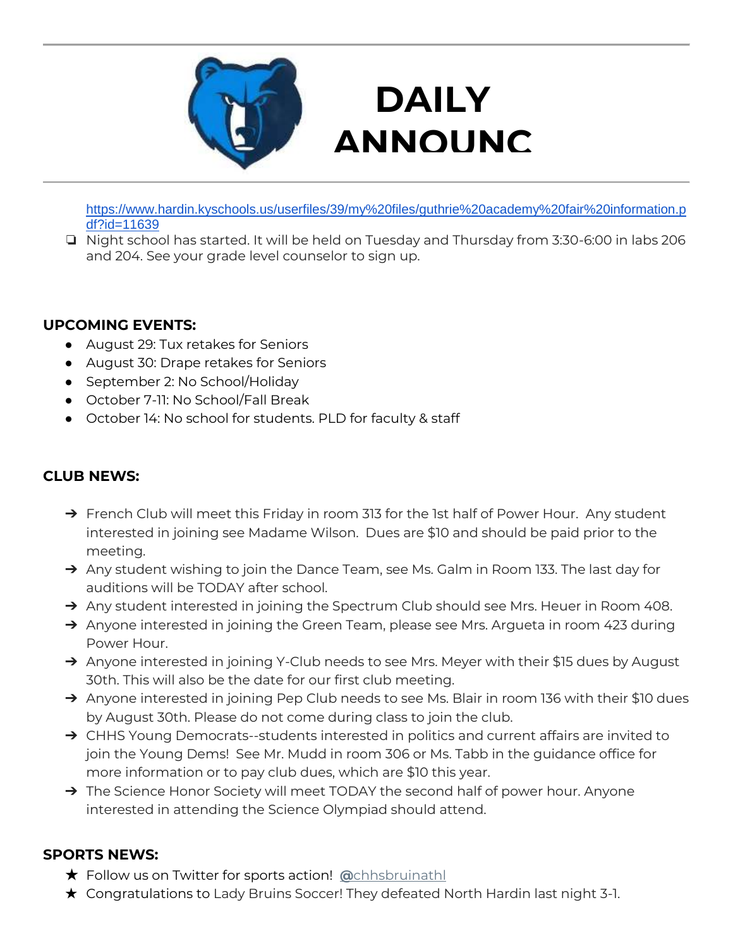

# **DAILY ANNOUNC**

**EXECUT EXECUT** [https://www.hardin.kyschools.us/userfiles/39/my%20files/guthrie%20academy%20fair%20information.p](https://www.hardin.kyschools.us/userfiles/39/my%20files/guthrie%20academy%20fair%20information.pdf?id=11639) [df?id=11639](https://www.hardin.kyschools.us/userfiles/39/my%20files/guthrie%20academy%20fair%20information.pdf?id=11639)

❏ Night school has started. It will be held on Tuesday and Thursday from 3:30-6:00 in labs 206 and 204. See your grade level counselor to sign up.

### **UPCOMING EVENTS:**

- August 29: Tux retakes for Seniors
- August 30: Drape retakes for Seniors
- September 2: No School/Holiday
- October 7-11: No School/Fall Break
- October 14: No school for students. PLD for faculty & staff

### **CLUB NEWS:**

- → French Club will meet this Friday in room 313 for the 1st half of Power Hour. Any student interested in joining see Madame Wilson. Dues are \$10 and should be paid prior to the meeting.
- → Any student wishing to join the Dance Team, see Ms. Galm in Room 133. The last day for auditions will be TODAY after school.
- → Any student interested in joining the Spectrum Club should see Mrs. Heuer in Room 408.
- → Anyone interested in joining the Green Team, please see Mrs. Argueta in room 423 during Power Hour.
- → Anyone interested in joining Y-Club needs to see Mrs. Meyer with their \$15 dues by August 30th. This will also be the date for our first club meeting.
- → Anyone interested in joining Pep Club needs to see Ms. Blair in room 136 with their \$10 dues by August 30th. Please do not come during class to join the club.
- → CHHS Young Democrats--students interested in politics and current affairs are invited to join the Young Dems! See Mr. Mudd in room 306 or Ms. Tabb in the guidance office for more information or to pay club dues, which are \$10 this year.
- → The Science Honor Society will meet TODAY the second half of power hour. Anyone interested in attending the Science Olympiad should attend.

#### **SPORTS NEWS:**

- ★ Follow us on Twitter for sports action! **[@](https://twitter.com/chhsbruinathl)**[chhsbruinathl](https://twitter.com/chhsbruinathl)
- ★ Congratulations to Lady Bruins Soccer! They defeated North Hardin last night 3-1.